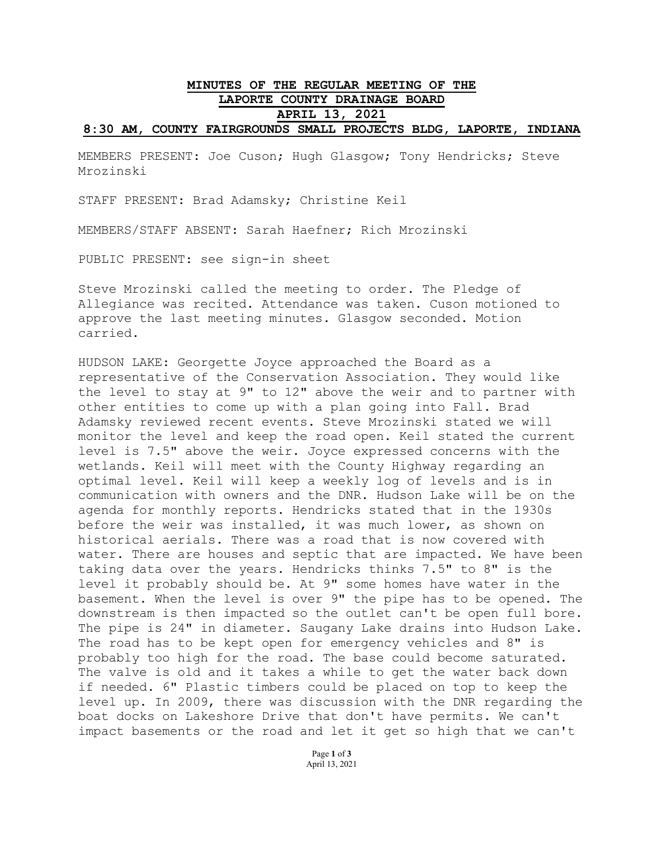## **MINUTES OF THE REGULAR MEETING OF THE LAPORTE COUNTY DRAINAGE BOARD APRIL 13, 2021 8:30 AM, COUNTY FAIRGROUNDS SMALL PROJECTS BLDG, LAPORTE, INDIANA**

MEMBERS PRESENT: Joe Cuson; Hugh Glasgow; Tony Hendricks; Steve Mrozinski

STAFF PRESENT: Brad Adamsky; Christine Keil

MEMBERS/STAFF ABSENT: Sarah Haefner; Rich Mrozinski

PUBLIC PRESENT: see sign-in sheet

Steve Mrozinski called the meeting to order. The Pledge of Allegiance was recited. Attendance was taken. Cuson motioned to approve the last meeting minutes. Glasgow seconded. Motion carried.

HUDSON LAKE: Georgette Joyce approached the Board as a representative of the Conservation Association. They would like the level to stay at 9" to 12" above the weir and to partner with other entities to come up with a plan going into Fall. Brad Adamsky reviewed recent events. Steve Mrozinski stated we will monitor the level and keep the road open. Keil stated the current level is 7.5" above the weir. Joyce expressed concerns with the wetlands. Keil will meet with the County Highway regarding an optimal level. Keil will keep a weekly log of levels and is in communication with owners and the DNR. Hudson Lake will be on the agenda for monthly reports. Hendricks stated that in the 1930s before the weir was installed, it was much lower, as shown on historical aerials. There was a road that is now covered with water. There are houses and septic that are impacted. We have been taking data over the years. Hendricks thinks 7.5" to 8" is the level it probably should be. At 9" some homes have water in the basement. When the level is over 9" the pipe has to be opened. The downstream is then impacted so the outlet can't be open full bore. The pipe is 24" in diameter. Saugany Lake drains into Hudson Lake. The road has to be kept open for emergency vehicles and 8" is probably too high for the road. The base could become saturated. The valve is old and it takes a while to get the water back down if needed. 6" Plastic timbers could be placed on top to keep the level up. In 2009, there was discussion with the DNR regarding the boat docks on Lakeshore Drive that don't have permits. We can't impact basements or the road and let it get so high that we can't

> Page **1** of **3** April 13, 2021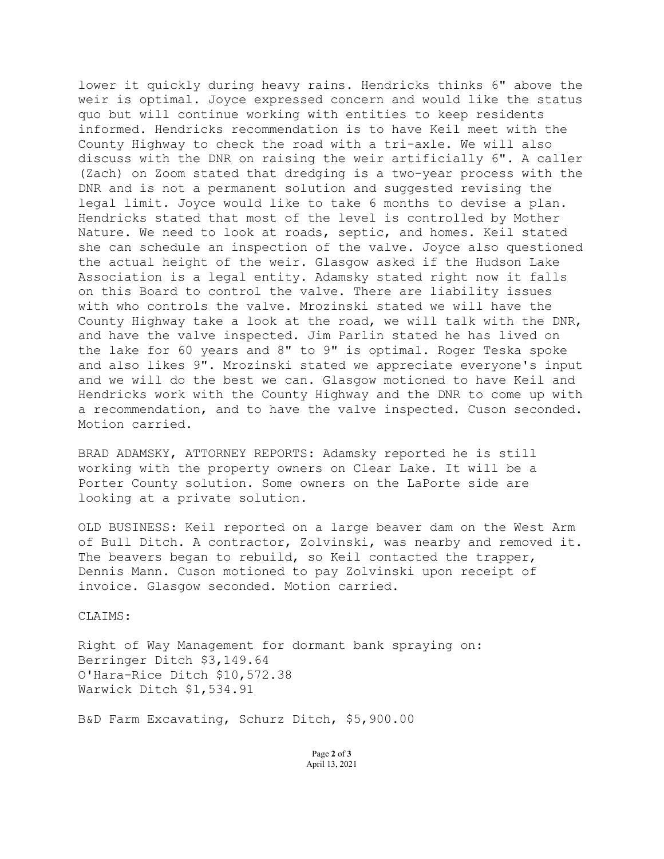lower it quickly during heavy rains. Hendricks thinks 6" above the weir is optimal. Joyce expressed concern and would like the status quo but will continue working with entities to keep residents informed. Hendricks recommendation is to have Keil meet with the County Highway to check the road with a tri-axle. We will also discuss with the DNR on raising the weir artificially 6". A caller (Zach) on Zoom stated that dredging is a two-year process with the DNR and is not a permanent solution and suggested revising the legal limit. Joyce would like to take 6 months to devise a plan. Hendricks stated that most of the level is controlled by Mother Nature. We need to look at roads, septic, and homes. Keil stated she can schedule an inspection of the valve. Joyce also questioned the actual height of the weir. Glasgow asked if the Hudson Lake Association is a legal entity. Adamsky stated right now it falls on this Board to control the valve. There are liability issues with who controls the valve. Mrozinski stated we will have the County Highway take a look at the road, we will talk with the DNR, and have the valve inspected. Jim Parlin stated he has lived on the lake for 60 years and 8" to 9" is optimal. Roger Teska spoke and also likes 9". Mrozinski stated we appreciate everyone's input and we will do the best we can. Glasgow motioned to have Keil and Hendricks work with the County Highway and the DNR to come up with a recommendation, and to have the valve inspected. Cuson seconded. Motion carried.

BRAD ADAMSKY, ATTORNEY REPORTS: Adamsky reported he is still working with the property owners on Clear Lake. It will be a Porter County solution. Some owners on the LaPorte side are looking at a private solution.

OLD BUSINESS: Keil reported on a large beaver dam on the West Arm of Bull Ditch. A contractor, Zolvinski, was nearby and removed it. The beavers began to rebuild, so Keil contacted the trapper, Dennis Mann. Cuson motioned to pay Zolvinski upon receipt of invoice. Glasgow seconded. Motion carried.

CLAIMS:

Right of Way Management for dormant bank spraying on: Berringer Ditch \$3,149.64 O'Hara-Rice Ditch \$10,572.38 Warwick Ditch \$1,534.91

B&D Farm Excavating, Schurz Ditch, \$5,900.00

Page **2** of **3** April 13, 2021